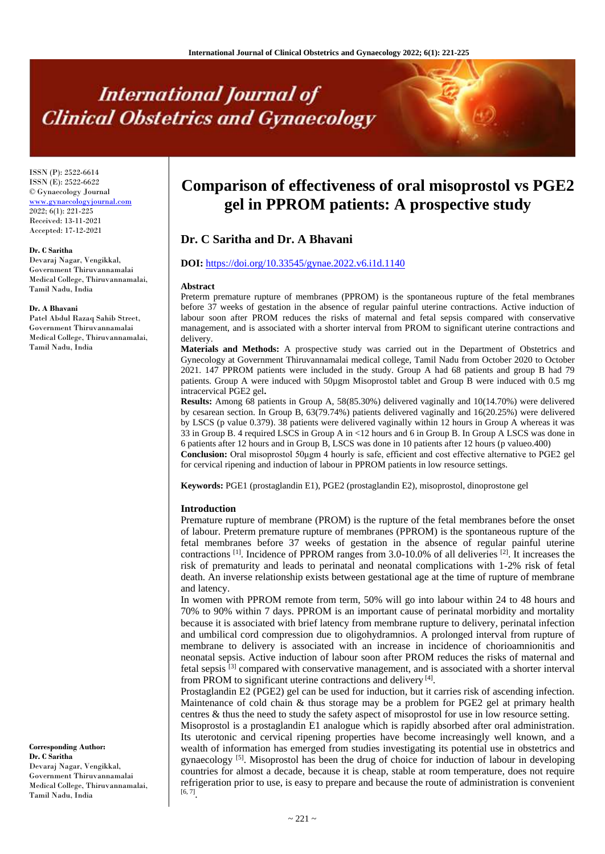# **International Journal of Clinical Obstetrics and Gynaecology**

ISSN (P): 2522-6614 ISSN (E): 2522-6622 © Gynaecology Journal <www.gynaecologyjournal.com> 2022; 6(1): 221-225 Received: 13-11-2021 Accepted: 17-12-2021

#### **Dr. C Saritha**

Devaraj Nagar, Vengikkal, Government Thiruvannamalai Medical College, Thiruvannamalai, Tamil Nadu, India

#### **Dr. A Bhavani**

Patel Abdul Razaq Sahib Street, Government Thiruvannamalai Medical College, Thiruvannamalai, Tamil Nadu, India

**Corresponding Author: Dr. C Saritha** Devaraj Nagar, Vengikkal, Government Thiruvannamalai Medical College, Thiruvannamalai, Tamil Nadu, India

# **Comparison of effectiveness of oral misoprostol vs PGE2 gel in PPROM patients: A prospective study**

# **Dr. C Saritha and Dr. A Bhavani**

#### **DOI:** <https://doi.org/10.33545/gynae.2022.v6.i1d.1140>

#### **Abstract**

Preterm premature rupture of membranes (PPROM) is the spontaneous rupture of the fetal membranes before 37 weeks of gestation in the absence of regular painful uterine contractions. Active induction of labour soon after PROM reduces the risks of maternal and fetal sepsis compared with conservative management, and is associated with a shorter interval from PROM to significant uterine contractions and delivery.

**Materials and Methods:** A prospective study was carried out in the Department of Obstetrics and Gynecology at Government Thiruvannamalai medical college, Tamil Nadu from October 2020 to October 2021. 147 PPROM patients were included in the study. Group A had 68 patients and group B had 79 patients. Group A were induced with 50µgm Misoprostol tablet and Group B were induced with 0.5 mg intracervical PGE2 gel**.**

**Results:** Among 68 patients in Group A, 58(85.30%) delivered vaginally and 10(14.70%) were delivered by cesarean section. In Group B, 63(79.74%) patients delivered vaginally and 16(20.25%) were delivered by LSCS (p value 0.379). 38 patients were delivered vaginally within 12 hours in Group A whereas it was 33 in Group B. 4 required LSCS in Group A in <12 hours and 6 in Group B. In Group A LSCS was done in 6 patients after 12 hours and in Group B, LSCS was done in 10 patients after 12 hours (p valueo.400)

**Conclusion:** Oral misoprostol 50μgm 4 hourly is safe, efficient and cost effective alternative to PGE2 gel for cervical ripening and induction of labour in PPROM patients in low resource settings.

**Keywords:** PGE1 (prostaglandin E1), PGE2 (prostaglandin E2), misoprostol, dinoprostone gel

#### **Introduction**

Premature rupture of membrane (PROM) is the rupture of the fetal membranes before the onset of labour. Preterm premature rupture of membranes (PPROM) is the spontaneous rupture of the fetal membranes before 37 weeks of gestation in the absence of regular painful uterine contractions  $^{[1]}$ . Incidence of PPROM ranges from 3.0-10.0% of all deliveries  $^{[2]}$ . It increases the risk of prematurity and leads to perinatal and neonatal complications with 1-2% risk of fetal death. An inverse relationship exists between gestational age at the time of rupture of membrane and latency.

In women with PPROM remote from term, 50% will go into labour within 24 to 48 hours and 70% to 90% within 7 days. PPROM is an important cause of perinatal morbidity and mortality because it is associated with brief latency from membrane rupture to delivery, perinatal infection and umbilical cord compression due to oligohydramnios. A prolonged interval from rupture of membrane to delivery is associated with an increase in incidence of chorioamnionitis and neonatal sepsis. Active induction of labour soon after PROM reduces the risks of maternal and fetal sepsis <sup>[3]</sup> compared with conservative management, and is associated with a shorter interval from PROM to significant uterine contractions and delivery [4].

Prostaglandin E2 (PGE2) gel can be used for induction, but it carries risk of ascending infection. Maintenance of cold chain & thus storage may be a problem for PGE2 gel at primary health centres & thus the need to study the safety aspect of misoprostol for use in low resource setting.

Misoprostol is a prostaglandin E1 analogue which is rapidly absorbed after oral administration. Its uterotonic and cervical ripening properties have become increasingly well known, and a wealth of information has emerged from studies investigating its potential use in obstetrics and gynaecology<sup>[5]</sup>. Misoprostol has been the drug of choice for induction of labour in developing countries for almost a decade, because it is cheap, stable at room temperature, does not require refrigeration prior to use, is easy to prepare and because the route of administration is convenient  $[6, 7]$ <sub>.</sub>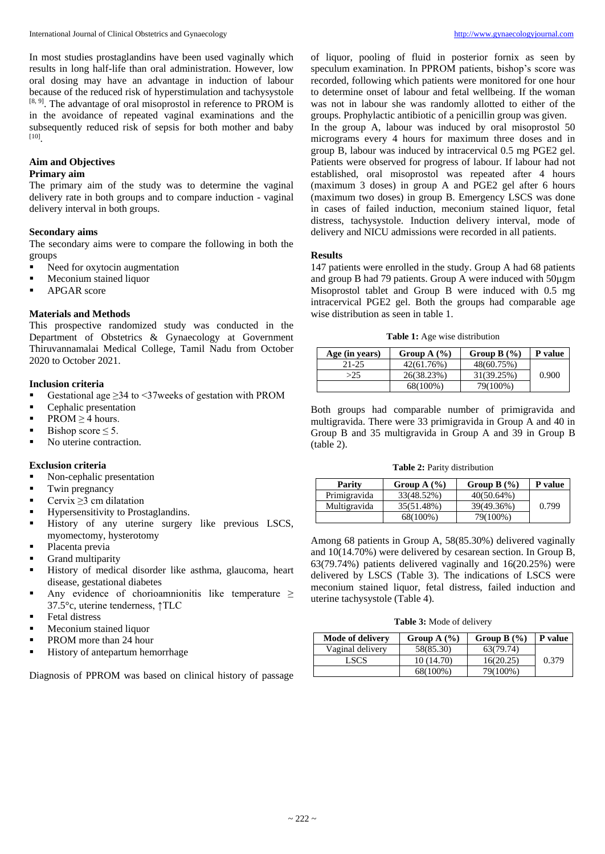In most studies prostaglandins have been used vaginally which results in long half-life than oral administration. However, low oral dosing may have an advantage in induction of labour because of the reduced risk of hyperstimulation and tachysystole  $[8, 9]$ . The advantage of oral misoprostol in reference to PROM is in the avoidance of repeated vaginal examinations and the subsequently reduced risk of sepsis for both mother and baby [10] .

#### **Aim and Objectives**

## **Primary aim**

The primary aim of the study was to determine the vaginal delivery rate in both groups and to compare induction - vaginal delivery interval in both groups.

#### **Secondary aims**

The secondary aims were to compare the following in both the groups

- Need for oxytocin augmentation
- **Meconium stained liquor**
- APGAR score

#### **Materials and Methods**

This prospective randomized study was conducted in the Department of Obstetrics & Gynaecology at Government Thiruvannamalai Medical College, Tamil Nadu from October 2020 to October 2021.

#### **Inclusion criteria**

- Gestational age  $\geq$ 34 to  $\leq$ 37 weeks of gestation with PROM
- Cephalic presentation
- $\blacksquare$  PROM  $>$  4 hours.
- Bishop score < 5.
- No uterine contraction.

#### **Exclusion criteria**

- Non-cephalic presentation
- **Twin pregnancy**
- Cervix  $\geq$ 3 cm dilatation
- **Hypersensitivity to Prostaglandins.**
- History of any uterine surgery like previous LSCS, myomectomy, hysterotomy
- Placenta previa
- Grand multiparity
- History of medical disorder like asthma, glaucoma, heart disease, gestational diabetes
- Any evidence of chorioamnionitis like temperature  $\geq$ 37.5°c, uterine tenderness, ↑TLC
- Fetal distress
- Meconium stained liquor
- PROM more than 24 hour
- History of antepartum hemorrhage

Diagnosis of PPROM was based on clinical history of passage

of liquor, pooling of fluid in posterior fornix as seen by speculum examination. In PPROM patients, bishop's score was recorded, following which patients were monitored for one hour to determine onset of labour and fetal wellbeing. If the woman was not in labour she was randomly allotted to either of the groups. Prophylactic antibiotic of a penicillin group was given.

In the group A, labour was induced by oral misoprostol 50 micrograms every 4 hours for maximum three doses and in group B, labour was induced by intracervical 0.5 mg PGE2 gel. Patients were observed for progress of labour. If labour had not established, oral misoprostol was repeated after 4 hours (maximum 3 doses) in group A and PGE2 gel after 6 hours (maximum two doses) in group B. Emergency LSCS was done in cases of failed induction, meconium stained liquor, fetal distress, tachysystole. Induction delivery interval, mode of delivery and NICU admissions were recorded in all patients.

#### **Results**

147 patients were enrolled in the study. Group A had 68 patients and group B had 79 patients. Group A were induced with 50µgm Misoprostol tablet and Group B were induced with 0.5 mg intracervical PGE2 gel. Both the groups had comparable age wise distribution as seen in table 1.

| Age (in years) | Group A $(\%)$ | Group B $(\% )$ | P value |
|----------------|----------------|-----------------|---------|
| $21 - 25$      | 42(61.76%)     | 48(60.75%)      |         |
| >25            | 26(38.23%)     | 31(39.25%)      | 0.900   |
|                | 68(100%)       | 79(100%)        |         |

Both groups had comparable number of primigravida and multigravida. There were 33 primigravida in Group A and 40 in Group B and 35 multigravida in Group A and 39 in Group B (table 2).

| <b>Parity</b> | Group A $(\% )$ | Group B $(\% )$ | P value |
|---------------|-----------------|-----------------|---------|
| Primigravida  | 33(48.52%)      | $40(50.64\%)$   |         |
| Multigravida  | 35(51.48%)      | 39(49.36%)      | 0.799   |
|               | 68(100%)        | 79(100%)        |         |

Among 68 patients in Group A, 58(85.30%) delivered vaginally and 10(14.70%) were delivered by cesarean section. In Group B, 63(79.74%) patients delivered vaginally and 16(20.25%) were delivered by LSCS (Table 3). The indications of LSCS were meconium stained liquor, fetal distress, failed induction and uterine tachysystole (Table 4).

#### **Table 3:** Mode of delivery

| <b>Mode of delivery</b> | Group A $(\% )$ | Group B $(\% )$ | P value |
|-------------------------|-----------------|-----------------|---------|
| Vaginal delivery        | 58(85.30)       | 63(79.74)       |         |
| LSCS                    | 10 (14.70)      | 16(20.25)       | 0.379   |
|                         | 68(100%)        | 79(100%)        |         |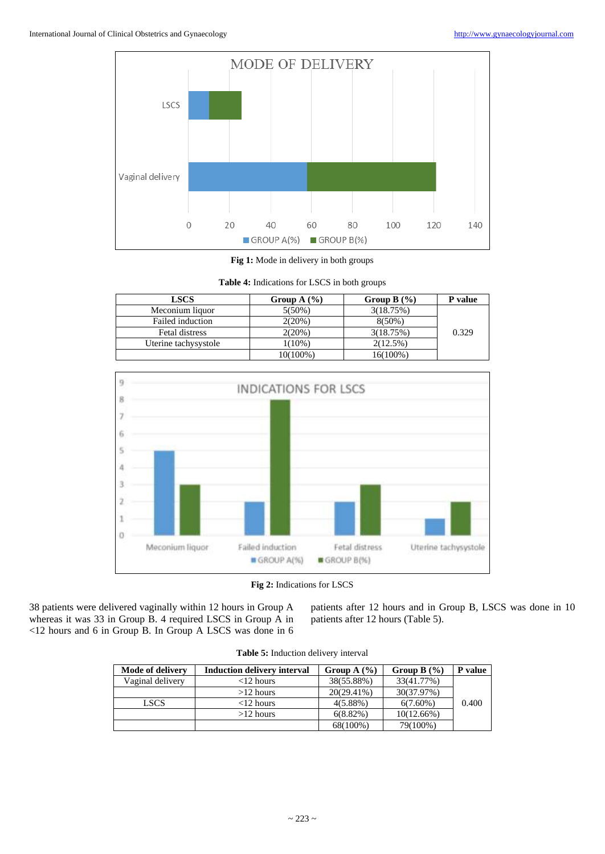

**Fig 1:** Mode in delivery in both groups

**Table 4:** Indications for LSCS in both groups

| <b>LSCS</b>          | Group B $(\% )$<br>Group A $(\% )$ |             | P value |
|----------------------|------------------------------------|-------------|---------|
| Meconium liquor      | $5(50\%)$                          | 3(18.75%)   |         |
| Failed induction     | 2(20%)                             | $8(50\%)$   |         |
| Fetal distress       | 2(20%)                             | 3(18.75%)   | 0.329   |
| Uterine tachysystole | $1(10\%)$                          | 2(12.5%)    |         |
|                      | $10(100\%)$                        | $16(100\%)$ |         |



**Fig 2:** Indications for LSCS

38 patients were delivered vaginally within 12 hours in Group A whereas it was 33 in Group B. 4 required LSCS in Group A in <12 hours and 6 in Group B. In Group A LSCS was done in 6 patients after 12 hours and in Group B, LSCS was done in 10 patients after 12 hours (Table 5).

| Mode of delivery | <b>Induction delivery interval</b> | Group A $(\% )$ | Group B $(\% )$ | P value |
|------------------|------------------------------------|-----------------|-----------------|---------|
| Vaginal delivery | $<$ 12 hours                       | 38(55.88%)      | 33(41.77%)      |         |
|                  | $>12$ hours                        | $20(29.41\%)$   | 30(37.97%)      |         |
| <b>LSCS</b>      | $<$ 12 hours                       | $4(5.88\%)$     | $6(7.60\%)$     | 0.400   |
|                  | $>12$ hours                        | $6(8.82\%)$     | $10(12.66\%)$   |         |
|                  |                                    | 68(100%)        | 79(100%)        |         |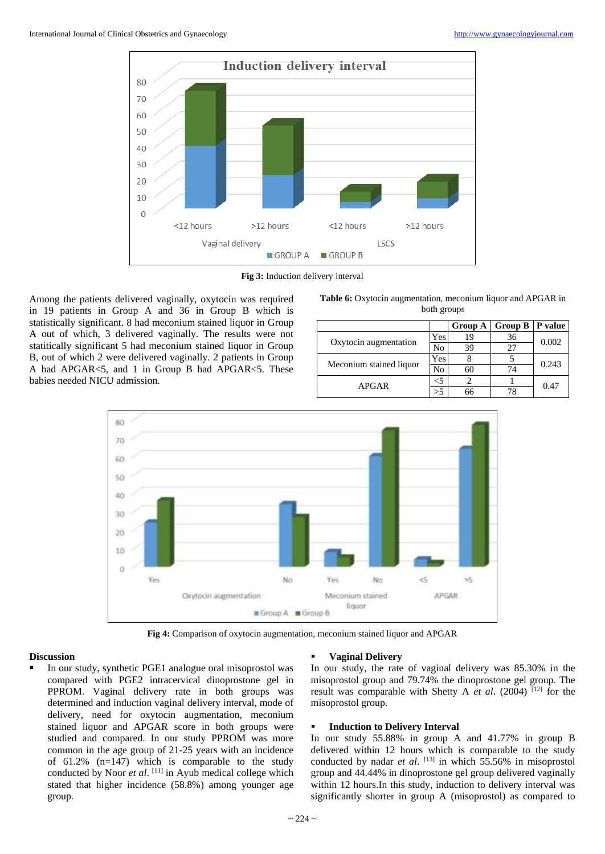

**Fig 3:** Induction delivery interval

Among the patients delivered vaginally, oxytocin was required in 19 patients in Group A and 36 in Group B which is statistically significant. 8 had meconium stained liquor in Group A out of which, 3 delivered vaginally. The results were not statitically significant 5 had meconium stained liquor in Group B, out of which 2 were delivered vaginally. 2 patients in Group A had APGAR<5, and 1 in Group B had APGAR<5. These babies needed NICU admission.

| Table 6: Oxytocin augmentation, meconium liquor and APGAR in |
|--------------------------------------------------------------|
| both groups                                                  |

|                         |     | <b>Group A</b> | <b>Group B</b> | P value |
|-------------------------|-----|----------------|----------------|---------|
| Oxytocin augmentation   | Yes | 19             | 36             | 0.002   |
|                         | No  | 39             |                |         |
| Meconium stained liquor | Yes |                |                |         |
|                         | No  | 60             | 74             | 0.243   |
|                         |     |                |                | 0.47    |
| APGAR                   | >5  |                |                |         |



**Fig 4:** Comparison of oxytocin augmentation, meconium stained liquor and APGAR

#### **Discussion**

 In our study, synthetic PGE1 analogue oral misoprostol was compared with PGE2 intracervical dinoprostone gel in PPROM. Vaginal delivery rate in both groups was determined and induction vaginal delivery interval, mode of delivery, need for oxytocin augmentation, meconium stained liquor and APGAR score in both groups were studied and compared. In our study PPROM was more common in the age group of 21-25 years with an incidence of 61.2% (n=147) which is comparable to the study conducted by Noor *et al*. <sup>[11]</sup> in Ayub medical college which stated that higher incidence (58.8%) among younger age group.

#### **Vaginal Delivery**

In our study, the rate of vaginal delivery was 85.30% in the misoprostol group and 79.74% the dinoprostone gel group. The result was comparable with Shetty A *et al.* (2004)<sup>[12]</sup> for the misoprostol group.

# **Induction to Delivery Interval**

In our study 55.88% in group A and 41.77% in group B delivered within 12 hours which is comparable to the study conducted by nadar *et al.* [13] in which 55.56% in misoprostol group and 44.44% in dinoprostone gel group delivered vaginally within 12 hours.In this study, induction to delivery interval was significantly shorter in group A (misoprostol) as compared to